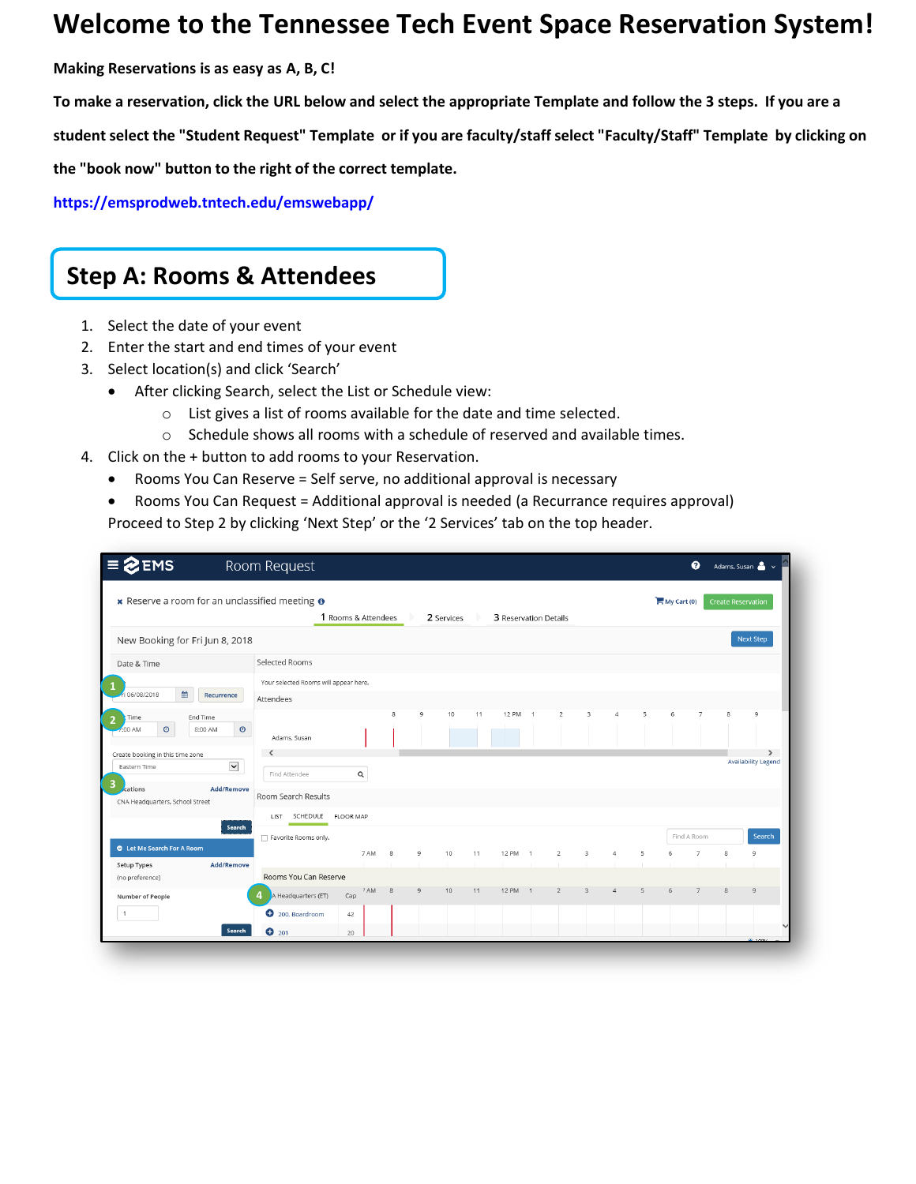### **Welcome to the Tennessee Tech Event Space Reservation System!**

**Making Reservations is as easy as A, B, C!** 

**To make a reservation, click the URL below and select the appropriate Template and follow the 3 steps. If you are a** 

**student select the "Student Request" Template or if you are faculty/staff select "Faculty/Staff" Template by clicking on** 

**the "book now" button to the right of the correct template.** 

**<https://emsprodweb.tntech.edu/emswebapp/>**

### **Step A: Rooms & Attendees**

- 1. Select the date of your event
- 2. Enter the start and end times of your event
- 3. Select location(s) and click 'Search'
	- After clicking Search, select the List or Schedule view:
		- o List gives a list of rooms available for the date and time selected.
		- o Schedule shows all rooms with a schedule of reserved and available times.
- 4. Click on the + button to add rooms to your Reservation.
	- Rooms You Can Reserve = Self serve, no additional approval is necessary
	- Rooms You Can Request = Additional approval is needed (a Recurrance requires approval) Proceed to Step 2 by clicking 'Next Step' or the '2 Services' tab on the top header.

| <b>EMS</b>                                             |                    | Room Request                          |                     |      |    |              |            |    |                       |                |                |                         |                |   |             | ℯ              |                           | Adams, Susan                                |
|--------------------------------------------------------|--------------------|---------------------------------------|---------------------|------|----|--------------|------------|----|-----------------------|----------------|----------------|-------------------------|----------------|---|-------------|----------------|---------------------------|---------------------------------------------|
| * Reserve a room for an unclassified meeting $\bullet$ |                    |                                       | 1 Rooms & Attendees |      |    |              | 2 Services |    | 3 Reservation Details |                |                |                         |                |   | My Cart (0) |                | <b>Create Reservation</b> |                                             |
| New Booking for Fri Jun 8, 2018                        |                    |                                       |                     |      |    |              |            |    |                       |                |                |                         |                |   |             |                |                           | <b>Next Step</b>                            |
| Date & Time                                            |                    | Selected Rooms                        |                     |      |    |              |            |    |                       |                |                |                         |                |   |             |                |                           |                                             |
|                                                        |                    | Your selected Rooms will appear here. |                     |      |    |              |            |    |                       |                |                |                         |                |   |             |                |                           |                                             |
| 簂<br>06/08/2018                                        | Recurrence         | Attendees                             |                     |      |    |              |            |    |                       |                |                |                         |                |   |             |                |                           |                                             |
| End Time<br>Time<br>$_{\odot}$<br>:00 AM               | $\odot$<br>8:00 AM | Adams, Susan                          |                     |      | 8  | $\mathsf{Q}$ | 10         | 11 | <b>12 PM</b>          | $-1$           | $\overline{2}$ | 3                       | $\Delta$       | 5 | 6           | 7              | $\mathbf{R}$              | $\mathbf{Q}$                                |
| Create booking in this time zone<br>Eastern Time<br>з  | $\check{~}$        | Find Attendee                         | $\mathsf Q$         |      |    |              |            |    |                       |                |                |                         |                |   |             |                |                           | $\rightarrow$<br><b>Availability Legend</b> |
| cations<br>CNA Headquarters, School Street             | <b>Add/Remove</b>  | Room Search Results                   |                     |      |    |              |            |    |                       |                |                |                         |                |   |             |                |                           |                                             |
|                                                        | Search             | SCHEDULE FLOOR MAP<br>LIST            |                     |      |    |              |            |    |                       |                |                |                         |                |   |             |                |                           |                                             |
|                                                        |                    | Favorite Rooms only.                  |                     |      |    |              |            |    |                       |                |                |                         |                |   |             | Find A Room    |                           | Search                                      |
| C Let Me Search For A Room<br>Setup Types              | <b>Add/Remove</b>  |                                       |                     | 7 AM | -8 | 9            | 10         | 11 | <b>12 PM</b>          | $\overline{1}$ | 2              | $\overline{\mathbf{3}}$ | $\overline{4}$ | 5 | 6           | $\overline{7}$ | 8                         | $\overline{9}$                              |
| (no preference)                                        |                    | Rooms You Can Reserve                 |                     |      |    |              |            |    |                       |                |                |                         |                |   |             |                |                           |                                             |
| Number of People                                       |                    | A Headquarters (ET)                   | Cap                 | 7 AM | -8 | 9            | 10         | 11 | 12 PM 1               |                | $\overline{2}$ | $\overline{3}$          | $\Delta$       | 5 | 6           | $\overline{7}$ | 8                         | $\Omega$                                    |
|                                                        |                    | 200, Boardroom                        | 42                  |      |    |              |            |    |                       |                |                |                         |                |   |             |                |                           |                                             |
|                                                        | Search             | $O$ 201                               | 20                  |      |    |              |            |    |                       |                |                |                         |                |   |             |                |                           |                                             |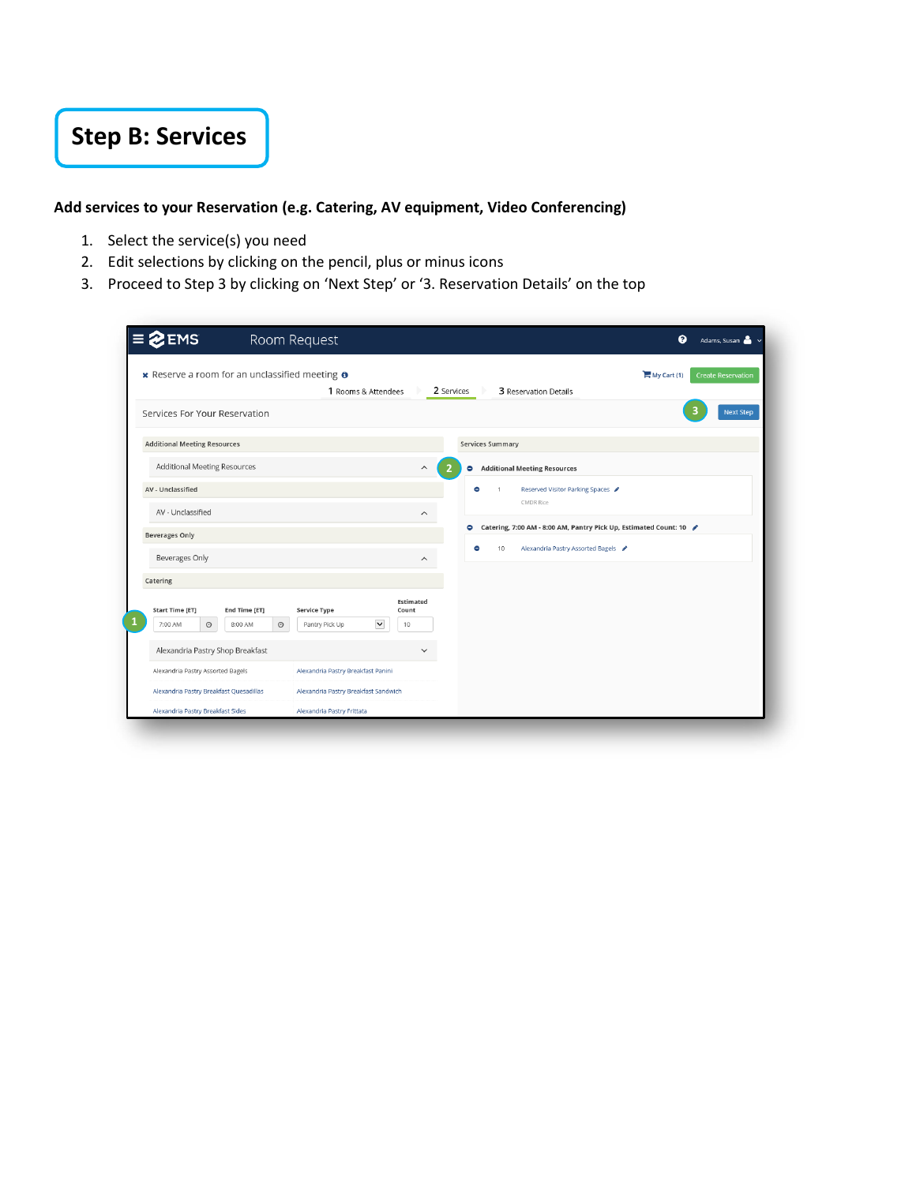# **Step B: Services**

#### **Add services to your Reservation (e.g. Catering, AV equipment, Video Conferencing)**

- 1. Select the service(s) you need
- 2. Edit selections by clicking on the pencil, plus or minus icons
- 3. Proceed to Step 3 by clicking on 'Next Step' or '3. Reservation Details' on the top

| <b>EMS</b>                                                                             | Room Request                                                        | ℯ<br>Adams, Susan                                                                                |
|----------------------------------------------------------------------------------------|---------------------------------------------------------------------|--------------------------------------------------------------------------------------------------|
| * Reserve a room for an unclassified meeting $\theta$                                  | 1 Rooms & Attendees                                                 | $Mv$ Cart (1)<br><b>Create Reservation</b><br>2 Services<br>3 Reservation Details                |
| Services For Your Reservation                                                          |                                                                     | <b>Next Step</b>                                                                                 |
| <b>Additional Meeting Resources</b>                                                    |                                                                     | <b>Services Summary</b>                                                                          |
| <b>Additional Meeting Resources</b>                                                    |                                                                     | <b>Additional Meeting Resources</b><br>$\widehat{\phantom{1}}$<br>2<br>۰                         |
| AV - Unclassified                                                                      |                                                                     | Reserved Visitor Parking Spaces<br>٠<br>$\mathbf{1}$<br><b>CMDR Rice</b>                         |
| AV - Unclassified                                                                      |                                                                     | $\widehat{\phantom{1}}$<br>۰<br>Catering, 7:00 AM - 8:00 AM, Pantry Pick Up, Estimated Count: 10 |
| <b>Beverages Only</b>                                                                  |                                                                     |                                                                                                  |
| Beverages Only                                                                         |                                                                     | ۰<br>10<br>Alexandria Pastry Assorted Bagels /<br>$\widehat{\phantom{1}}$                        |
| Catering                                                                               |                                                                     |                                                                                                  |
| <b>Start Time [ET]</b><br>End Time [ET]<br>$_{\odot}$<br>$\odot$<br>7:00 AM<br>8:00 AM | <b>Service Type</b><br>Count<br>$\check{ }$<br>Pantry Pick Up<br>10 | Estimated                                                                                        |
| Alexandria Pastry Shop Breakfast                                                       |                                                                     | $\checkmark$                                                                                     |
| Alexandria Pastry Assorted Bagels                                                      | Alexandria Pastry Breakfast Panini                                  |                                                                                                  |
| Alexandria Pastry Breakfast Quesadillas                                                | Alexandria Pastry Breakfast Sandwich                                |                                                                                                  |
| Alexandria Pastry Breakfast Sides                                                      | Alexandria Pastry Frittata                                          |                                                                                                  |